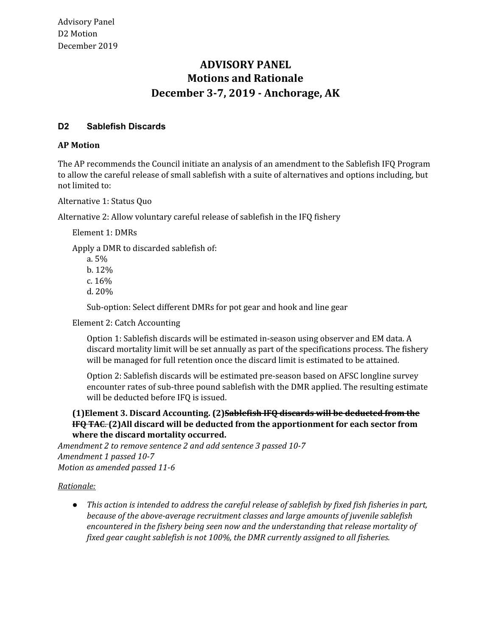# **Motions and Rationale December 3-7, 2019 - Anchorage, AK ADVISORY PANEL**

# **D2 Sablefish Discards**

### **AP Motion**

 The AP recommends the Council initiate an analysis of an amendment to the Sablefish IFQ Program to allow the careful release of small sablefish with a suite of alternatives and options including, but not limited to:

Alternative 1: Status Quo

Alternative 2: Allow voluntary careful release of sablefish in the IFQ fishery

Element 1: DMRs

Apply a DMR to discarded sablefish of:

a. 5% b. 12% c. 16% d. 20%

Sub-option: Select different DMRs for pot gear and hook and line gear

Element 2: Catch Accounting

 Option 1: Sablefish discards will be estimated in-season using observer and EM data. A discard mortality limit will be set annually as part of the specifications process. The fishery will be managed for full retention once the discard limit is estimated to be attained.

 Option 2: Sablefish discards will be estimated pre-season based on AFSC longline survey encounter rates of sub-three pound sablefish with the DMR applied. The resulting estimate will be deducted before IFQ is issued.

### **(1)Element 3. Discard Accounting. (2)Sablefish IFQ discards will be deducted from the IFQ TAC**. **(2)All discard will be deducted from the apportionment for each sector from where the discard mortality occurred.**

 *Amendment 2 to remove sentence 2 and add sentence 3 passed 10-7 Amendment 1 passed 10-7 Motion as amended passed 11-6*

#### *Rationale:*

• This action is intended to address the careful release of sablefish by fixed fish fisheries in part,  *because of the above-average recruitment classes and large amounts of juvenile sablefish encountered in the fishery being seen now and the understanding that release mortality of fixed gear caught sablefish is not 100%, the DMR currently assigned to all fisheries.*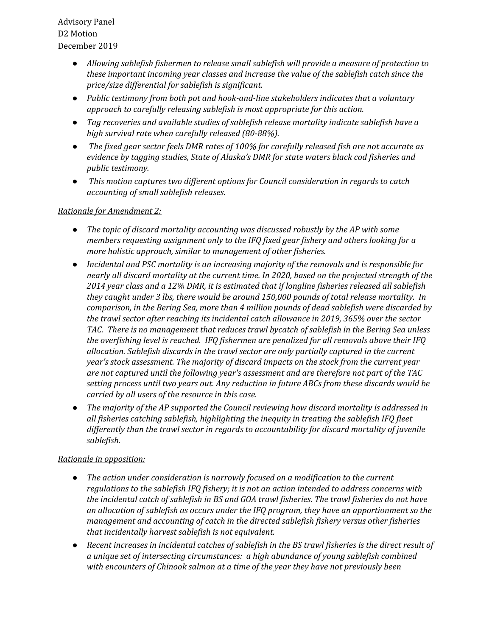Advisory Panel D2 Motion December 2019

- *● Allowing sablefish fishermen to release small sablefish will provide a measure of protection to these important incoming year classes and increase the value of the sablefish catch since the price/size differential for sablefish is significant.*
- *● Public testimony from both pot and hook-and-line stakeholders indicates that a voluntary approach to carefully releasing sablefish is most appropriate for this action.*
- *● Tag recoveries and available studies of sablefish release mortality indicate sablefish have a high survival rate when carefully released (80-88%).*
- The fixed gear sector feels DMR rates of 100% for carefully released fish are not accurate as  *evidence by tagging studies, State of Alaska's DMR for state waters black cod fisheries and public testimony.*
- *● This motion captures two different options for Council consideration in regards to catch accounting of small sablefish releases.*

#### *Rationale for Amendment 2:*

- *The topic of discard mortality accounting was discussed robustly by the AP with some members requesting assignment only to the IFQ fixed gear fishery and others looking for a more holistic approach, similar to management of other fisheries.*
- *Incidental and PSC mortality is an increasing majority of the removals and is responsible for* nearly all discard mortality at the current time. In 2020, based on the projected strength of the  *2014 year class and a 12% DMR, it is estimated that if longline fisheries released all sablefish they caught under 3 lbs, there would be around 150,000 pounds of total release mortality. In comparison, in the Bering Sea, more than 4 million pounds of dead sablefish were discarded by the trawl sector after reaching its incidental catch allowance in 2019, 365% over the sector TAC. There is no management that reduces trawl bycatch of sablefish in the Bering Sea unless the overfishing level is reached. IFQ fishermen are penalized for all removals above their IFQ allocation. Sablefish discards in the trawl sector are only partially captured in the current year's stock assessment. The majority of discard impacts on the stock from the current year are not captured until the following year's assessment and are therefore not part of the TAC setting process until two years out. Any reduction in future ABCs from these discards would be carried by all users of the resource in this case.*
- *● The majority of the AP supported the Council reviewing how discard mortality is addressed in all fisheries catching sablefish, highlighting the inequity in treating the sablefish IFQ fleet differently than the trawl sector in regards to accountability for discard mortality of juvenile sablefish.*

# *Rationale in opposition:*

- *● The action under consideration is narrowly focused on a modification to the current regulations to the sablefish IFQ fishery; it is not an action intended to address concerns with the incidental catch of sablefish in BS and GOA trawl fisheries. The trawl fisheries do not have an allocation of sablefish as occurs under the IFQ program, they have an apportionment so the management and accounting of catch in the directed sablefish fishery versus other fisheries that incidentally harvest sablefish is not equivalent.*
- Recent increases in incidental catches of sablefish in the BS trawl fisheries is the direct result of  *a unique set of intersecting circumstances: a high abundance of young sablefish combined with encounters of Chinook salmon at a time of the year they have not previously been*